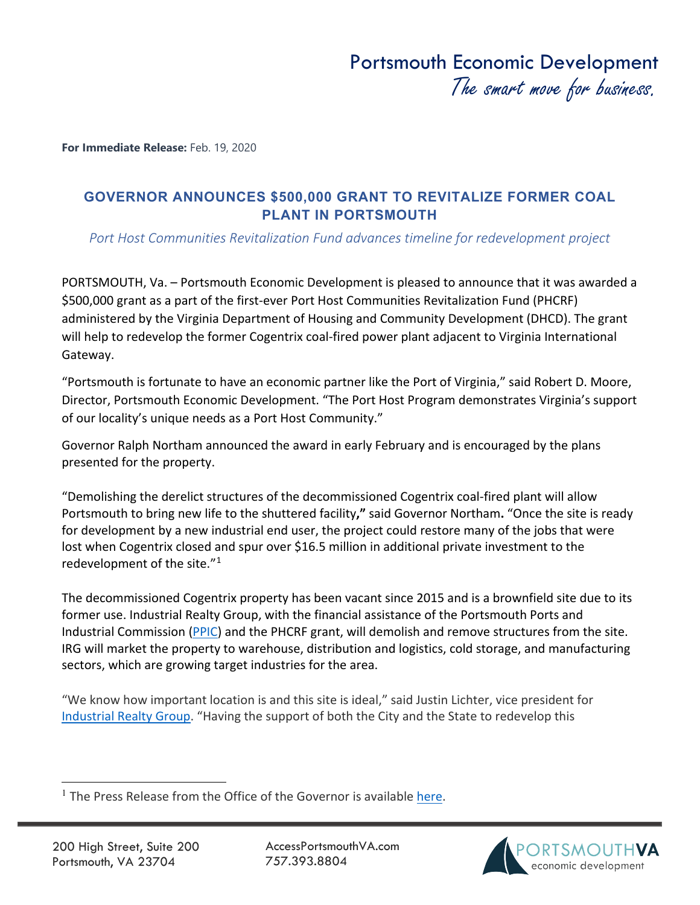**For Immediate Release:** Feb. 19, 2020

## **GOVERNOR ANNOUNCES \$500,000 GRANT TO REVITALIZE FORMER COAL PLANT IN PORTSMOUTH**

*Port Host Communities Revitalization Fund advances timeline for redevelopment project*

PORTSMOUTH, Va. – Portsmouth Economic Development is pleased to announce that it was awarded a \$500,000 grant as a part of the first-ever Port Host Communities Revitalization Fund (PHCRF) administered by the Virginia Department of Housing and Community Development (DHCD). The grant will help to redevelop the former Cogentrix coal-fired power plant adjacent to Virginia International Gateway.

"Portsmouth is fortunate to have an economic partner like the Port of Virginia," said Robert D. Moore, Director, Portsmouth Economic Development. "The Port Host Program demonstrates Virginia's support of our locality's unique needs as a Port Host Community."

Governor Ralph Northam announced the award in early February and is encouraged by the plans presented for the property.

"Demolishing the derelict structures of the decommissioned Cogentrix coal-fired plant will allow Portsmouth to bring new life to the shuttered facility**,"** said Governor Northam**.** "Once the site is ready for development by a new industrial end user, the project could restore many of the jobs that were lost when Cogentrix closed and spur over \$16.5 million in additional private investment to the redevelopment of the site."<sup>1</sup>

The decommissioned Cogentrix property has been vacant since 2015 and is a brownfield site due to its former use. Industrial Realty Group, with the financial assistance of the Portsmouth Ports and Industrial Commission [\(PPIC\)](https://www.accessportsmouthva.com/portsmouth-port-and-industrial-commission-ppic) and the PHCRF grant, will demolish and remove structures from the site. IRG will market the property to warehouse, distribution and logistics, cold storage, and manufacturing sectors, which are growing target industries for the area.

"We know how important location is and this site is ideal," said Justin Lichter, vice president for [Industrial Realty Group.](http://www.industrialrealtygroup.com/) "Having the support of both the City and the State to redevelop this

AccessPortsmouthVA.com 757.393.8804



<span id="page-0-0"></span><sup>&</sup>lt;sup>1</sup> The Press Release from the Office of the Governor is available [here.](https://www.governor.virginia.gov/newsroom/all-releases/2020/february/headline-851560-en.html)